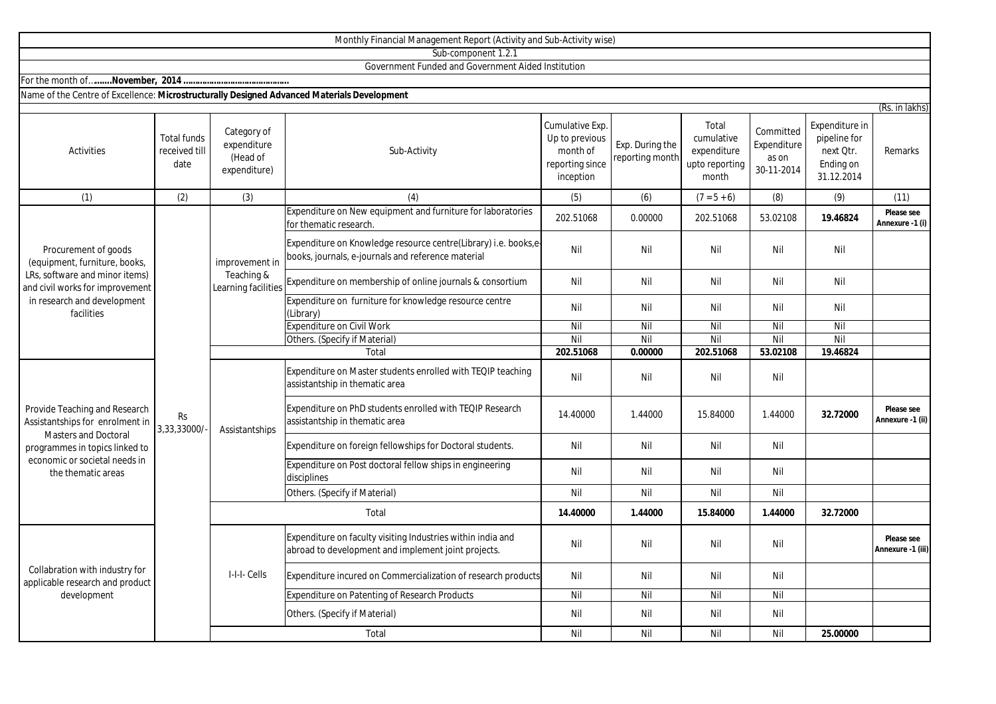|                                                                                                                                                                                          |                                             |                                                        | Monthly Financial Management Report (Activity and Sub-Activity wise)                                                  |                                                                               |                                    |                                                               |                                                 |                                                                        |                                 |
|------------------------------------------------------------------------------------------------------------------------------------------------------------------------------------------|---------------------------------------------|--------------------------------------------------------|-----------------------------------------------------------------------------------------------------------------------|-------------------------------------------------------------------------------|------------------------------------|---------------------------------------------------------------|-------------------------------------------------|------------------------------------------------------------------------|---------------------------------|
|                                                                                                                                                                                          |                                             |                                                        | Sub-component 1.2.1                                                                                                   |                                                                               |                                    |                                                               |                                                 |                                                                        |                                 |
|                                                                                                                                                                                          |                                             |                                                        | Government Funded and Government Aided Institution                                                                    |                                                                               |                                    |                                                               |                                                 |                                                                        |                                 |
|                                                                                                                                                                                          |                                             |                                                        |                                                                                                                       |                                                                               |                                    |                                                               |                                                 |                                                                        |                                 |
| Name of the Centre of Excellence: Microstructurally Designed Advanced Materials Development                                                                                              |                                             |                                                        |                                                                                                                       |                                                                               |                                    |                                                               |                                                 |                                                                        |                                 |
|                                                                                                                                                                                          |                                             |                                                        |                                                                                                                       |                                                                               |                                    |                                                               |                                                 |                                                                        | (Rs. in lakhs)                  |
| Activities                                                                                                                                                                               | <b>Total funds</b><br>received till<br>date | Category of<br>expenditure<br>(Head of<br>expenditure) | Sub-Activity                                                                                                          | Cumulative Exp.<br>Up to previous<br>month of<br>reporting since<br>inception | Exp. During the<br>reporting month | Total<br>cumulative<br>expenditure<br>upto reporting<br>month | Committed<br>Expenditure<br>as on<br>30-11-2014 | Expenditure in<br>pipeline for<br>next Qtr.<br>Ending on<br>31.12.2014 | Remarks                         |
| (1)                                                                                                                                                                                      | (2)                                         | (3)                                                    | (4)                                                                                                                   | (5)                                                                           | (6)                                | $(7 = 5 + 6)$                                                 | (8)                                             | (9)                                                                    | (11)                            |
| Procurement of goods<br>(equipment, furniture, books,<br>LRs, software and minor items)<br>and civil works for improvement<br>in research and development<br>facilities                  | <b>Rs</b><br>3,33,33000/                    | improvement in<br>Teaching &<br>Learning facilities    | Expenditure on New equipment and furniture for laboratories<br>for thematic research.                                 | 202.51068                                                                     | 0.00000                            | 202.51068                                                     | 53.02108                                        | 19.46824                                                               | Please see<br>Annexure -1 (i)   |
|                                                                                                                                                                                          |                                             |                                                        | Expenditure on Knowledge resource centre(Library) i.e. books,e-<br>books, journals, e-journals and reference material | Nil                                                                           | Nil                                | Nil                                                           | Nil                                             | Nil                                                                    |                                 |
|                                                                                                                                                                                          |                                             |                                                        | Expenditure on membership of online journals & consortium                                                             | Nil                                                                           | Nil                                | Nil                                                           | Nil                                             | Nil                                                                    |                                 |
|                                                                                                                                                                                          |                                             |                                                        | Expenditure on furniture for knowledge resource centre<br>(Library)                                                   | Nil                                                                           | Nil                                | Nil                                                           | Nil                                             | Nil                                                                    |                                 |
|                                                                                                                                                                                          |                                             |                                                        | <b>Expenditure on Civil Work</b>                                                                                      | Nil                                                                           | Nil                                | Nil                                                           | Nil                                             | Nil                                                                    |                                 |
|                                                                                                                                                                                          |                                             |                                                        | Others. (Specify if Material)                                                                                         | Nil                                                                           | Nil                                | Nil                                                           | Nil                                             | Nil                                                                    |                                 |
|                                                                                                                                                                                          |                                             |                                                        | Total                                                                                                                 | 202.51068                                                                     | 0.00000                            | 202.51068                                                     | 53.02108                                        | 19.46824                                                               |                                 |
| Provide Teaching and Research<br>Assistantships for enrolment in<br><b>Masters and Doctoral</b><br>programmes in topics linked to<br>economic or societal needs in<br>the thematic areas |                                             | Assistantships                                         | Expenditure on Master students enrolled with TEQIP teaching<br>assistantship in thematic area                         | Nil                                                                           | Nil                                | Nil                                                           | Nil                                             |                                                                        |                                 |
|                                                                                                                                                                                          |                                             |                                                        | Expenditure on PhD students enrolled with TEQIP Research<br>assistantship in thematic area                            | 14.40000                                                                      | 1.44000                            | 15.84000                                                      | 1.44000                                         | 32.72000                                                               | Please see<br>Annexure -1 (ii)  |
|                                                                                                                                                                                          |                                             |                                                        | Expenditure on foreign fellowships for Doctoral students.                                                             | Nil                                                                           | Nil                                | Nil                                                           | Nil                                             |                                                                        |                                 |
|                                                                                                                                                                                          |                                             |                                                        | Expenditure on Post doctoral fellow ships in engineering<br>disciplines                                               | Nil                                                                           | Nil                                | Nil                                                           | Nil                                             |                                                                        |                                 |
|                                                                                                                                                                                          |                                             |                                                        | Others. (Specify if Material)                                                                                         | Nil                                                                           | Nil                                | Nil                                                           | Nil                                             |                                                                        |                                 |
|                                                                                                                                                                                          |                                             | Total                                                  |                                                                                                                       | 14.40000                                                                      | 1.44000                            | 15.84000                                                      | 1.44000                                         | 32.72000                                                               |                                 |
| Collabration with industry for<br>applicable research and product<br>development                                                                                                         |                                             | I-I-I- Cells                                           | Expenditure on faculty visiting Industries within india and<br>abroad to development and implement joint projects.    | Nil                                                                           | Nil                                | Nil                                                           | Nil                                             |                                                                        | Please see<br>Annexure -1 (iii) |
|                                                                                                                                                                                          |                                             |                                                        | Expenditure incured on Commercialization of research products                                                         | Nil                                                                           | Nil                                | Nil                                                           | Nil                                             |                                                                        |                                 |
|                                                                                                                                                                                          |                                             |                                                        | Expenditure on Patenting of Research Products                                                                         | Nil                                                                           | Nil                                | Nil                                                           | Nil                                             |                                                                        |                                 |
|                                                                                                                                                                                          |                                             |                                                        | Others. (Specify if Material)                                                                                         | Nil                                                                           | Nil                                | Nil                                                           | Nil                                             |                                                                        |                                 |

Total

Nil Nil Nil Nil **25.00000**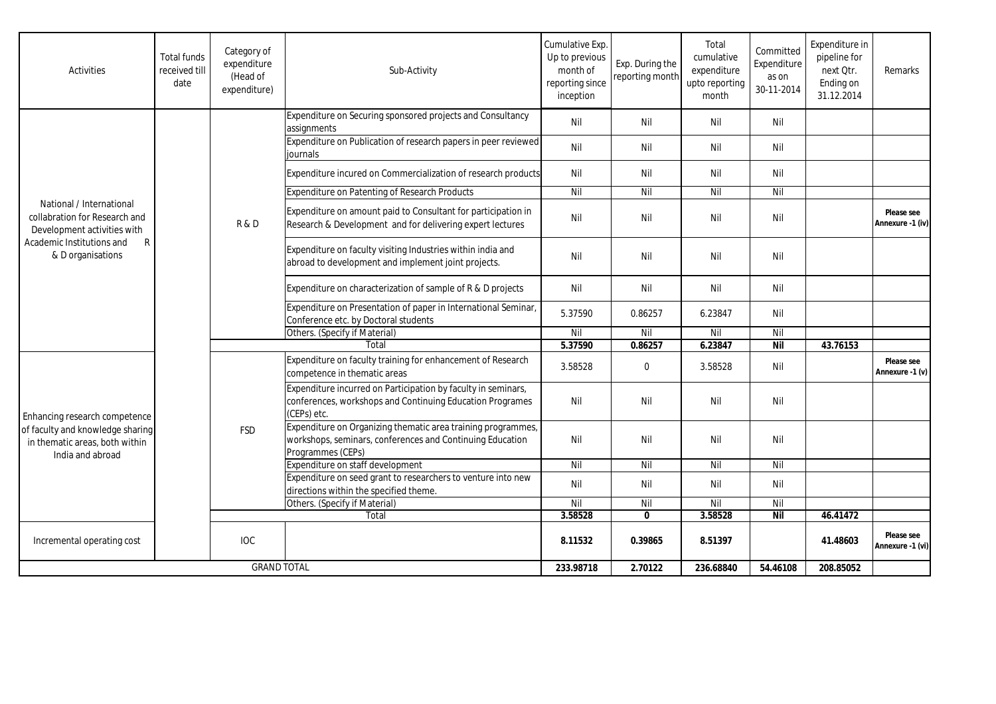| Activities                                                                                                                                 | <b>Total funds</b><br>received till<br>date | Category of<br>expenditure<br>(Head of<br>expenditure) | Sub-Activity                                                                                                                                   | Cumulative Exp.<br>Up to previous<br>month of<br>reporting since<br>inception | Exp. During the<br>reporting month | Total<br>cumulative<br>expenditure<br>upto reporting<br>month | Committed<br>Expenditure<br>as on<br>30-11-2014 | Expenditure in<br>pipeline for<br>next Qtr.<br>Ending on<br>31.12.2014 | Remarks                        |
|--------------------------------------------------------------------------------------------------------------------------------------------|---------------------------------------------|--------------------------------------------------------|------------------------------------------------------------------------------------------------------------------------------------------------|-------------------------------------------------------------------------------|------------------------------------|---------------------------------------------------------------|-------------------------------------------------|------------------------------------------------------------------------|--------------------------------|
| National / International<br>collabration for Research and<br>Development activities with<br>Academic Institutions and<br>& D organisations |                                             | R&D                                                    | Expenditure on Securing sponsored projects and Consultancy<br>assignments                                                                      | Nil                                                                           | Nil                                | Nil                                                           | Nil                                             |                                                                        |                                |
|                                                                                                                                            |                                             |                                                        | Expenditure on Publication of research papers in peer reviewed<br>iournals                                                                     | Nil                                                                           | Nil                                | Nil                                                           | Nil                                             |                                                                        |                                |
|                                                                                                                                            |                                             |                                                        | Expenditure incured on Commercialization of research products                                                                                  | Nil                                                                           | Nil                                | Nil                                                           | Nil                                             |                                                                        |                                |
|                                                                                                                                            |                                             |                                                        | <b>Expenditure on Patenting of Research Products</b>                                                                                           | Nil                                                                           | Nil                                | Nil                                                           | Nil                                             |                                                                        |                                |
|                                                                                                                                            |                                             |                                                        | Expenditure on amount paid to Consultant for participation in<br>Research & Development and for delivering expert lectures                     | Nil                                                                           | Nil                                | Nil                                                           | Nil                                             |                                                                        | Please see<br>Annexure -1 (iv) |
|                                                                                                                                            |                                             |                                                        | Expenditure on faculty visiting Industries within india and<br>abroad to development and implement joint projects.                             | Nil                                                                           | Nil                                | Nil                                                           | Nil                                             |                                                                        |                                |
|                                                                                                                                            |                                             |                                                        | Expenditure on characterization of sample of R & D projects                                                                                    | Nil                                                                           | Nil                                | Nil                                                           | Nil                                             |                                                                        |                                |
|                                                                                                                                            |                                             |                                                        | Expenditure on Presentation of paper in International Seminar,<br>Conference etc. by Doctoral students                                         | 5.37590                                                                       | 0.86257                            | 6.23847                                                       | Nil                                             |                                                                        |                                |
|                                                                                                                                            |                                             |                                                        | Others. (Specify if Material)                                                                                                                  | Nil                                                                           | Nil                                | Nil                                                           | Nil                                             |                                                                        |                                |
|                                                                                                                                            |                                             |                                                        | Total                                                                                                                                          | 5.37590                                                                       | 0.86257                            | 6.23847                                                       | <b>Nil</b>                                      | 43.76153                                                               |                                |
| Enhancing research competence<br>of faculty and knowledge sharing<br>in thematic areas, both within<br>India and abroad                    |                                             | <b>FSD</b>                                             | Expenditure on faculty training for enhancement of Research<br>competence in thematic areas                                                    | 3.58528                                                                       | $\mathbf{0}$                       | 3.58528                                                       | Nil                                             |                                                                        | Please see<br>Annexure -1 (v)  |
|                                                                                                                                            |                                             |                                                        | Expenditure incurred on Participation by faculty in seminars,<br>conferences, workshops and Continuing Education Programes<br>(CEPs) etc.      | Nil                                                                           | Nil                                | Nil                                                           | Nil                                             |                                                                        |                                |
|                                                                                                                                            |                                             |                                                        | Expenditure on Organizing thematic area training programmes,<br>workshops, seminars, conferences and Continuing Education<br>Programmes (CEPs) | Nil                                                                           | Nil                                | Nil                                                           | Nil                                             |                                                                        |                                |
|                                                                                                                                            |                                             |                                                        | Expenditure on staff development                                                                                                               | Nil                                                                           | Nil                                | Nil                                                           | Nil                                             |                                                                        |                                |
|                                                                                                                                            |                                             |                                                        | Expenditure on seed grant to researchers to venture into new<br>directions within the specified theme.                                         | Nil                                                                           | Nil                                | Nil                                                           | Nil                                             |                                                                        |                                |
|                                                                                                                                            |                                             |                                                        | Others. (Specify if Material)                                                                                                                  | Nil                                                                           | Nil                                | Nil                                                           | Nil                                             |                                                                        |                                |
|                                                                                                                                            |                                             |                                                        | Total                                                                                                                                          | 3.58528                                                                       | $\mathbf{0}$                       | 3.58528                                                       | <b>Nil</b>                                      | 46.41472                                                               |                                |
| Incremental operating cost                                                                                                                 |                                             | <b>IOC</b>                                             |                                                                                                                                                | 8.11532                                                                       | 0.39865                            | 8.51397                                                       |                                                 | 41.48603                                                               | Please see<br>Annexure -1 (vi) |
| <b>GRAND TOTAL</b>                                                                                                                         |                                             |                                                        | 233.98718                                                                                                                                      | 2.70122                                                                       | 236.68840                          | 54.46108                                                      | 208.85052                                       |                                                                        |                                |